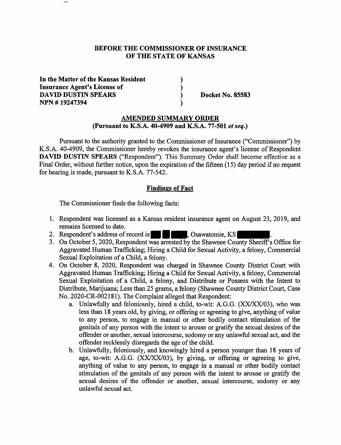#### **BEFORE THE COMMISSIONER OF INSURANCE OF THE STATE OF KANSAS**

) ) ) )

**In the Matter of the Kansas Resident Insurance Agent's License of DAVID DUSTIN SPEARS NPN** # **19247394** 

**Docket No. 85583** 

#### **AMENDED SUMMARY ORDER (Pursuant to K.S.A. 40-4909 and K.S.A. 77-501** *et seq.)*

Pursuant to the authority granted to the Commissioner of Insurance ("Commissioner") by K.S.A. 40-4909, the Commissioner hereby revokes the insurance agent's license of Respondent **DAVID DUSTIN SPEARS** ("Respondent"). This Summary Order shall become effective as a Final Order, without further notice, upon the expiration of the fifteen (15) day period if no request for hearing is made, pursuant to K.S.A. 77-542.

#### **Findings of Fact**

The Commissioner finds the following facts:

- 1. Respondent was licensed as a Kansas resident insurance agent on August 23, 2019, and remains licensed to date.
- 2. Respondent's address of record is **the set of the set of set of set of set of set of set of set of set of set of set of set of set of set of set of set of set of set of set of set of set of set of set of set of set of s**
- 3. On October 5, 2020, Respondent was arrested by the Shawnee County Sheriff's Office for Aggravated Human Trafficking; Hiring a Child for Sexual Activity, a felony, Commercial Sexual Exploitation of a Child, a felony.
- 4. On October 8, 2020, Respondent was charged in Shawnee County District Court with Aggravated Human Trafficking; Hiring a Child for Sexual Activity, a felony, Commercial Sexual Exploitation of a Child, a felony, and Distribute or Possess with the Intent to Distribute, Marijuana; Less than 25 grams, a felony (Shawnee County District Court, Case No. 2020-CR-002181). The Complaint alleged that Respondent:
	- a. Unlawfully and feloniously, hired a child, to-wit: A.G.G. (XX/XX/03), who was less than 18 years old, by giving, or offering or agreeing to give, anything of value to any person, to engage in manual or other bodily contact stimulation of the genitals of any person with the intent to arouse or gratify the sexual desires of the offender or another, sexual intercourse, sodomy or any unlawful sexual act, and the offender recklessly disregards the age of the child.
	- b. Unlawfully, feloniously, and knowingly hired a person younger than 18 years of age, to-wit: A.G.G. (XXIXX/03), by giving, or offering or agreeing to give, anything of value to any person, to engage in a manual or other bodily contact stimulation of the genitals of any person with the intent to arouse or gratify the sexual desires of the offender or another, sexual intercourse, sodomy or any unlawful sexual act.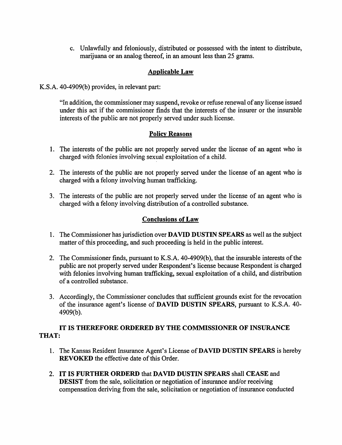c. Unlawfully and feloniously, distributed or possessed with the intent to distribute, marijuana or an analog thereof, in an amount less than 25 grams.

### **Applicable Law**

K.S.A. 40-4909(b) provides, in relevant part:

"In addition, the commissioner may suspend, revoke or refuse renewal of any license issued under this act if the commissioner finds that the interests of the insurer or the insurable interests of the public are not properly served under such license.

## **Policy Reasons**

- 1. The interests of the public are not properly served under the license of an agent who is charged with felonies involving sexual exploitation of a child.
- 2. The interests of the public are not properly served under the license of an agent who is charged with a felony involving human trafficking.
- 3. The interests of the public are not properly served under the license of an agent who is charged with a felony involving distribution of a controlled substance.

### **Conclusions of Law**

- 1. The Commissioner has jurisdiction over **DAVID DUSTIN SPEARS** as well as the subject matter of this proceeding, and such proceeding is held in the public interest.
- 2. The Commissioner finds, pursuant to K.S.A. 40-4909(b), that the insurable interests of the public are not properly served under Respondent's license because Respondent is charged with felonies involving human trafficking, sexual exploitation of a child, and distribution of a controlled substance.
- 3. Accordingly, the Commissioner concludes that sufficient grounds exist for the revocation of the insurance agent's license of **DAVID DUSTIN SPEARS,** pursuant to K.S.A. 40- 4909(b).

### **IT IS THEREFORE ORDERED BY THE COMMISSIONER OF INSURANCE THAT:**

- 1. The Kansas Resident Insurance Agent's License of **DAVID DUSTIN SPEARS** is hereby **REVOKED** the effective date of this Order.
- 2. **IT IS FURTHER ORDERD** that **DAVID DUSTIN SPEARS** shall **CEASE** and **DESIST** from the sale, solicitation or negotiation of insurance and/or receiving compensation deriving from the sale, solicitation or negotiation of insurance conducted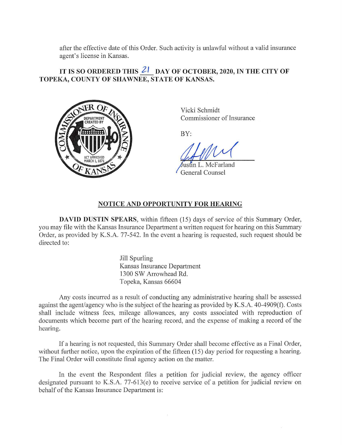after the effective date of this Order. Such activity is unlawful without a valid insurance agent's license in Kansas.

# IT IS SO ORDERED THIS <sup>21</sup> DAY OF OCTOBER, 2020, IN THE CITY OF **TOPEKA, COUNTY OF SHAWNEE, STATE OF KANSAS.**



Vicki Schmidt Commissioner of Insurance

BY:

ustin L. McFarland General Counsel

### **NOTICE AND OPPORTUNITY FOR HEARING**

**DAVID DUSTIN SPEARS,** within fifteen (15) days of service of this Summary Order, you may file with the Kansas Insurance Department a written request for hearing on this Summary Order, as provided by K.S.A. 77-542. In the event a hearing is requested, such request should be directed to:

> Jill Spurling Kansas Insurance Department 1300 SW Arrowhead Rd. Topeka, Kansas 66604

Any costs incurred as a result of conducting any administrative hearing shall be assessed against the agent/agency who is the subject of the hearing as provided by K.S.A. 40-4909(f). Costs shall include witness fees, mileage allowances, any costs associated with reproduction of documents which become part of the hearing record, and the expense of making a record of the hearing.

If a hearing is not requested, this Summary Order shall become effective as a Final Order, without further notice, upon the expiration of the fifteen (15) day period for requesting a hearing. The Final Order will constitute final agency action on the matter.

In the event the Respondent files a petition for judicial review, the agency officer designated pursuant to K.S.A. 77-613(e) to receive service of a petition for judicial review on behalf of the Kansas Insurance Department is: